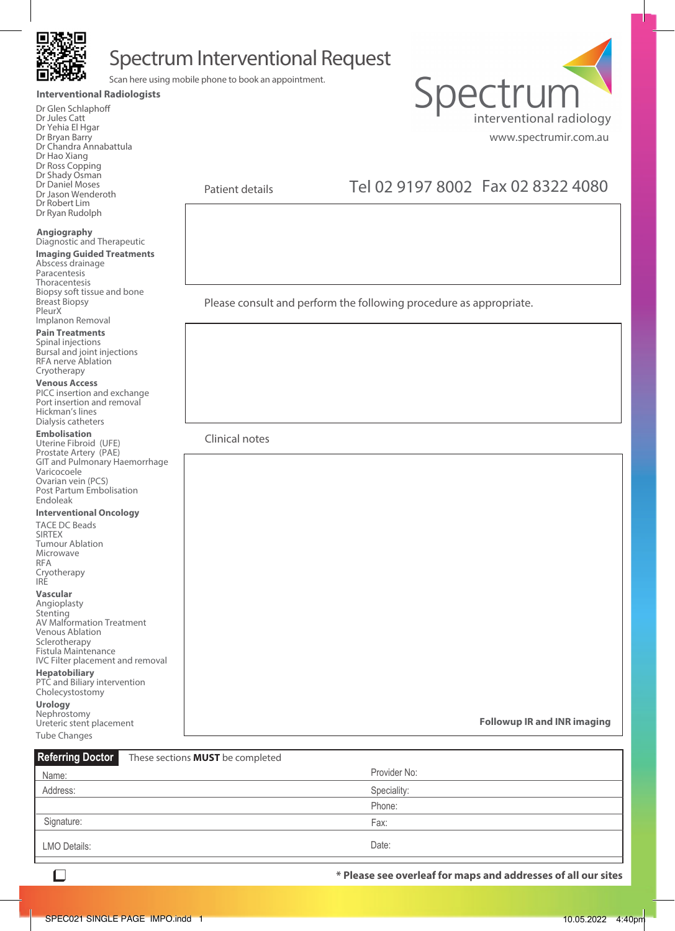

# Spectrum Interventional Request

Scan here using mobile phone to book an appointment.

#### **Interventional Radiologists**

Dr Glen Schlaphoff Dr Jules Catt Dr Yehia El Hgar Dr Bryan Barry Dr Chandra Annabattula Dr Hao Xiang Dr Ross Copping Dr Shady Osman Dr Daniel Moses Dr Jason Wenderoth Dr Robert Lim Dr Ryan Rudolph

### **Angiography**

#### Diagnostic and Therapeutic **Imaging Guided Treatments**

Abscess drainage Paracentesis Thoracentesis Biopsy soft tissue and bone Breast Biopsy **PleurX** Implanon Removal

#### **Pain Treatments**

Spinal injections Bursal and joint injections RFA nerve Ablation Cryotherapy

#### **Venous Access**

PICC insertion and exchange Port insertion and removal Hickman's lines Dialysis catheters

#### **Embolisation**

Uterine Fibroid (UFE) Prostate Artery (PAE) GIT and Pulmonary Haemorrhage Varicocoele Ovarian vein (PCS) Post Partum Embolisation Endoleak

#### **Interventional Oncology**

TACE DC Beads **SIRTEX** Tumour Ablation Microwave RFA Cryotherapy IRE

# **Vascular**

Angioplasty Stenting AV Malformation Treatment Venous Ablation Sclerotherapy Fistula Maintenance IVC Filter placement and removal

**Hepatobiliary** PTC and Biliary intervention Cholecystostomy

#### **Urology**

**Nephrostomy** Ureteric stent placement Tube Changes

**Followup IR and INR imaging**

| <b>Referring Doctor</b> | These sections <b>MUST</b> be completed |              |  |
|-------------------------|-----------------------------------------|--------------|--|
| Name:                   |                                         | Provider No: |  |
| Address:                |                                         | Speciality:  |  |
|                         |                                         | Phone:       |  |
| Signature:              |                                         | Fax:         |  |
| LMO Details:            |                                         | Date:        |  |
|                         |                                         |              |  |

 $\Box$ 

**\* Please see overleaf for maps and addresses of all our sites**



Patient details

# Tel 02 9197 8002 Fax 02 8322 4080

Please consult and perform the following procedure as appropriate.

Clinical notes